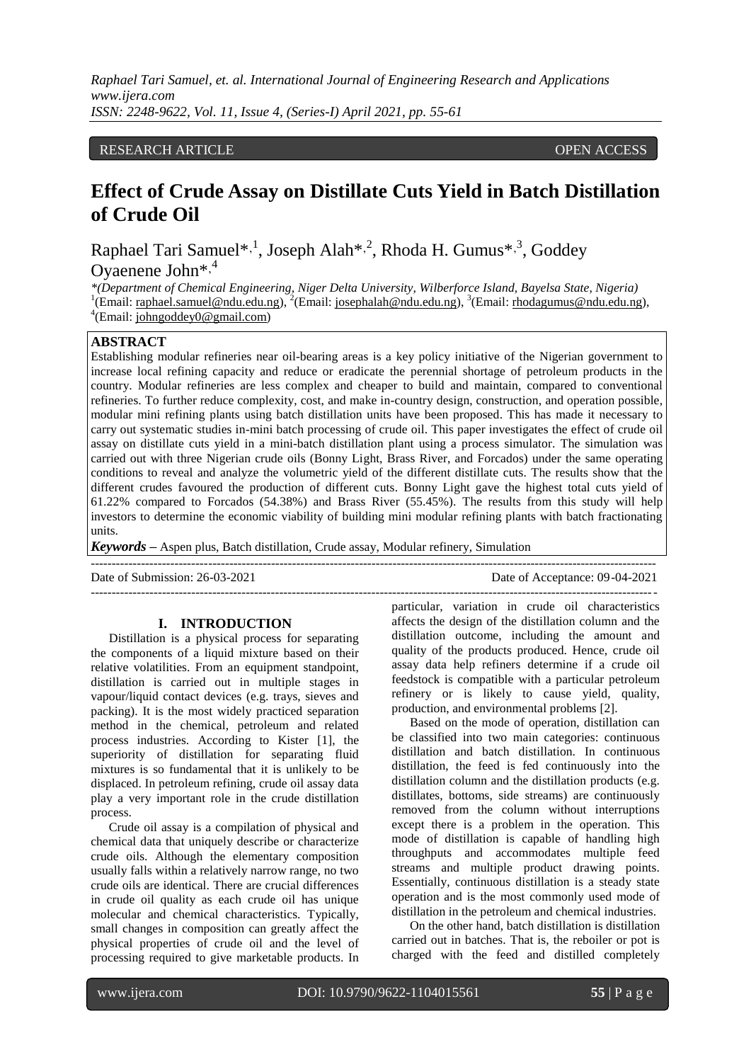*Raphael Tari Samuel, et. al. International Journal of Engineering Research and Applications www.ijera.com ISSN: 2248-9622, Vol. 11, Issue 4, (Series-I) April 2021, pp. 55-61*

#### RESEARCH ARTICLE **CONSERVERS** OPEN ACCESS

# **Effect of Crude Assay on Distillate Cuts Yield in Batch Distillation of Crude Oil**

Raphael Tari Samuel\*,<sup>1</sup>, Joseph Alah\*,<sup>2</sup>, Rhoda H. Gumus<sup>\*,3</sup>, Goddey Oyaenene John<sup>\*,4</sup>

*\*(Department of Chemical Engineering, Niger Delta University, Wilberforce Island, Bayelsa State, Nigeria)* <sup>1</sup>(Email[: raphael.samuel@ndu.edu.ng\)](mailto:raphael.samuel@ndu.edu.ng), <sup>2</sup>(Email[: josephalah@ndu.edu.ng\)](mailto:josephalah@ndu.edu.ng), <sup>3</sup>(Email: [rhodagumus@ndu.edu.ng\)](mailto:rhodagumus@yahoo.com), <sup>4</sup>(Email[: johngoddey0@gmail.com\)](mailto:johngoddey0@gmail.com)

## **ABSTRACT**

Establishing modular refineries near oil-bearing areas is a key policy initiative of the Nigerian government to increase local refining capacity and reduce or eradicate the perennial shortage of petroleum products in the country. Modular refineries are less complex and cheaper to build and maintain, compared to conventional refineries. To further reduce complexity, cost, and make in-country design, construction, and operation possible, modular mini refining plants using batch distillation units have been proposed. This has made it necessary to carry out systematic studies in-mini batch processing of crude oil. This paper investigates the effect of crude oil assay on distillate cuts yield in a mini-batch distillation plant using a process simulator. The simulation was carried out with three Nigerian crude oils (Bonny Light, Brass River, and Forcados) under the same operating conditions to reveal and analyze the volumetric yield of the different distillate cuts. The results show that the different crudes favoured the production of different cuts. Bonny Light gave the highest total cuts yield of 61.22% compared to Forcados (54.38%) and Brass River (55.45%). The results from this study will help investors to determine the economic viability of building mini modular refining plants with batch fractionating units.

---------------------------------------------------------------------------------------------------------------------------------------

---------------------------------------------------------------------------------------------------------------------------------------

*Keywords* **–** Aspen plus, Batch distillation, Crude assay, Modular refinery, Simulation

Date of Submission: 26-03-2021 Date of Acceptance: 09-04-2021

#### **I. INTRODUCTION**

Distillation is a physical process for separating the components of a liquid mixture based on their relative volatilities. From an equipment standpoint, distillation is carried out in multiple stages in vapour/liquid contact devices (e.g. trays, sieves and packing). It is the most widely practiced separation method in the chemical, petroleum and related process industries. According to Kister [1], the superiority of distillation for separating fluid mixtures is so fundamental that it is unlikely to be displaced. In petroleum refining, crude oil assay data play a very important role in the crude distillation process.

Crude oil assay is a compilation of physical and chemical data that uniquely describe or characterize crude oils. Although the elementary composition usually falls within a relatively narrow range, no two crude oils are identical. There are crucial differences in crude oil quality as each crude oil has unique molecular and chemical characteristics. Typically, small changes in composition can greatly affect the physical properties of crude oil and the level of processing required to give marketable products. In

particular, variation in crude oil characteristics affects the design of the distillation column and the distillation outcome, including the amount and quality of the products produced. Hence, crude oil assay data help refiners determine if a crude oil feedstock is compatible with a particular petroleum refinery or is likely to cause yield, quality, production, and environmental problems [2].

Based on the mode of operation, distillation can be classified into two main categories: continuous distillation and batch distillation. In continuous distillation, the feed is fed continuously into the distillation column and the distillation products (e.g. distillates, bottoms, side streams) are continuously removed from the column without interruptions except there is a problem in the operation. This mode of distillation is capable of handling high throughputs and accommodates multiple feed streams and multiple product drawing points. Essentially, continuous distillation is a steady state operation and is the most commonly used mode of distillation in the petroleum and chemical industries.

On the other hand, batch distillation is distillation carried out in batches. That is, the reboiler or pot is charged with the feed and distilled completely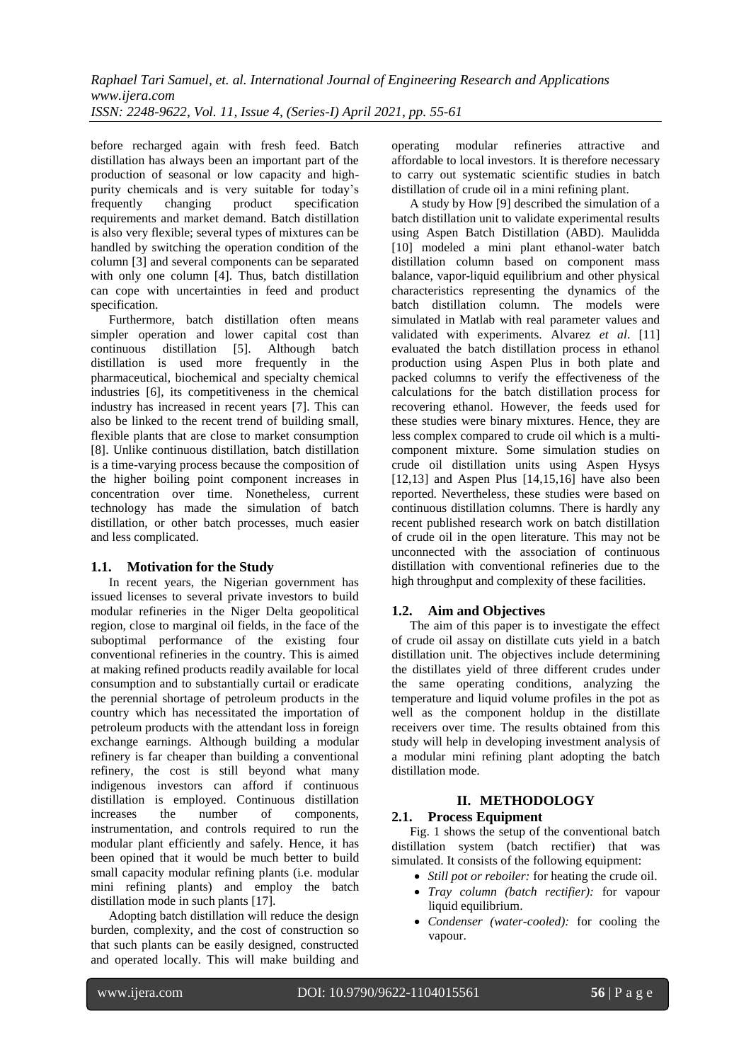before recharged again with fresh feed. Batch distillation has always been an important part of the production of seasonal or low capacity and highpurity chemicals and is very suitable for today's<br>frequently changing product specification specification requirements and market demand. Batch distillation is also very flexible; several types of mixtures can be handled by switching the operation condition of the column [3] and several components can be separated with only one column [4]. Thus, batch distillation can cope with uncertainties in feed and product specification.

Furthermore, batch distillation often means simpler operation and lower capital cost than<br>continuous distillation [5]. Although batch distillation [5]. Although batch distillation is used more frequently in the pharmaceutical, biochemical and specialty chemical industries [6], its competitiveness in the chemical industry has increased in recent years [7]. This can also be linked to the recent trend of building small, flexible plants that are close to market consumption [8]. Unlike continuous distillation, batch distillation is a time-varying process because the composition of the higher boiling point component increases in concentration over time. Nonetheless, current technology has made the simulation of batch distillation, or other batch processes, much easier and less complicated.

## **1.1. Motivation for the Study**

In recent years, the Nigerian government has issued licenses to several private investors to build modular refineries in the Niger Delta geopolitical region, close to marginal oil fields, in the face of the suboptimal performance of the existing four conventional refineries in the country. This is aimed at making refined products readily available for local consumption and to substantially curtail or eradicate the perennial shortage of petroleum products in the country which has necessitated the importation of petroleum products with the attendant loss in foreign exchange earnings. Although building a modular refinery is far cheaper than building a conventional refinery, the cost is still beyond what many indigenous investors can afford if continuous distillation is employed. Continuous distillation increases the number of components, instrumentation, and controls required to run the modular plant efficiently and safely. Hence, it has been opined that it would be much better to build small capacity modular refining plants (i.e. modular mini refining plants) and employ the batch distillation mode in such plants [17].

Adopting batch distillation will reduce the design burden, complexity, and the cost of construction so that such plants can be easily designed, constructed and operated locally. This will make building and

operating modular refineries attractive and affordable to local investors. It is therefore necessary to carry out systematic scientific studies in batch distillation of crude oil in a mini refining plant.

A study by How [9] described the simulation of a batch distillation unit to validate experimental results using Aspen Batch Distillation (ABD). Maulidda [10] modeled a mini plant ethanol-water batch distillation column based on component mass balance, vapor-liquid equilibrium and other physical characteristics representing the dynamics of the batch distillation column. The models were simulated in Matlab with real parameter values and validated with experiments. Alvarez *et al*. [11] evaluated the batch distillation process in ethanol production using Aspen Plus in both plate and packed columns to verify the effectiveness of the calculations for the batch distillation process for recovering ethanol. However, the feeds used for these studies were binary mixtures. Hence, they are less complex compared to crude oil which is a multicomponent mixture. Some simulation studies on crude oil distillation units using Aspen Hysys [12,13] and Aspen Plus  $[14,15,16]$  have also been reported. Nevertheless, these studies were based on continuous distillation columns. There is hardly any recent published research work on batch distillation of crude oil in the open literature. This may not be unconnected with the association of continuous distillation with conventional refineries due to the high throughput and complexity of these facilities.

## **1.2. Aim and Objectives**

The aim of this paper is to investigate the effect of crude oil assay on distillate cuts yield in a batch distillation unit. The objectives include determining the distillates yield of three different crudes under the same operating conditions, analyzing the temperature and liquid volume profiles in the pot as well as the component holdup in the distillate receivers over time. The results obtained from this study will help in developing investment analysis of a modular mini refining plant adopting the batch distillation mode.

#### **II. METHODOLOGY 2.1. Process Equipment**

Fig. 1 shows the setup of the conventional batch distillation system (batch rectifier) that was simulated. It consists of the following equipment:

- *Still pot or reboiler:* for heating the crude oil.
- *Tray column (batch rectifier):* for vapour liquid equilibrium.
- *Condenser (water-cooled):* for cooling the vapour.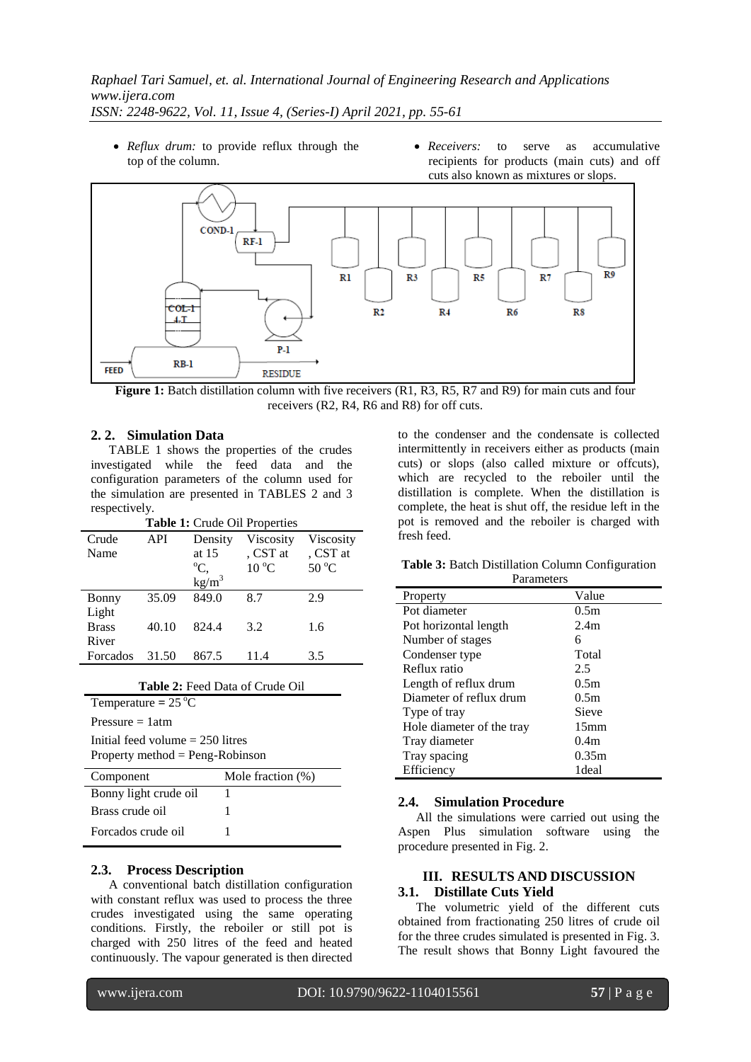- *Reflux drum:* to provide reflux through the top of the column.
- *Receivers:* to serve as accumulative recipients for products (main cuts) and off cuts also known as mixtures or slops.



**Figure 1:** Batch distillation column with five receivers (R1, R3, R5, R7 and R9) for main cuts and four receivers (R2, R4, R6 and R8) for off cuts.

### **2. 2. Simulation Data**

TABLE 1 shows the properties of the crudes investigated while the feed data and the configuration parameters of the column used for the simulation are presented in TABLES 2 and 3 respectively.

| Table 1: Crude Oil Properties |       |                   |                |                |
|-------------------------------|-------|-------------------|----------------|----------------|
| Crude                         | API   | Density           | Viscosity      | Viscosity      |
| Name                          |       | at 15             | , CST at       | , CST at       |
|                               |       | $\mathrm{C}_{2}$  | $10^{\circ}$ C | $50^{\circ}$ C |
|                               |       | kg/m <sup>3</sup> |                |                |
| Bonny                         | 35.09 | 849.0             | 8.7            | 2.9            |
| Light                         |       |                   |                |                |
| <b>Brass</b>                  | 40.10 | 824.4             | 3.2            | 1.6            |
| River                         |       |                   |                |                |
| Forcados                      | 31.50 | 867.5             | 11.4           | 3.5            |

| <b>Table 2:</b> Feed Data of Crude Oil                                  |                      |  |  |  |
|-------------------------------------------------------------------------|----------------------|--|--|--|
| Temperature = $25^{\circ}$ C                                            |                      |  |  |  |
| Pressure $= 1$ atm                                                      |                      |  |  |  |
| Initial feed volume $= 250$ litres<br>Property method $=$ Peng-Robinson |                      |  |  |  |
|                                                                         |                      |  |  |  |
| Component                                                               | Mole fraction $(\%)$ |  |  |  |
| Bonny light crude oil                                                   | 1                    |  |  |  |
| Brass crude oil                                                         | 1                    |  |  |  |

#### **2.3. Process Description**

A conventional batch distillation configuration with constant reflux was used to process the three crudes investigated using the same operating conditions. Firstly, the reboiler or still pot is charged with 250 litres of the feed and heated continuously. The vapour generated is then directed to the condenser and the condensate is collected intermittently in receivers either as products (main cuts) or slops (also called mixture or offcuts), which are recycled to the reboiler until the distillation is complete. When the distillation is complete, the heat is shut off, the residue left in the pot is removed and the reboiler is charged with fresh feed.

**Table 3:** Batch Distillation Column Configuration Parameters

| alameters                 |                  |  |  |  |
|---------------------------|------------------|--|--|--|
| Property                  | Value            |  |  |  |
| Pot diameter              | 0.5m             |  |  |  |
| Pot horizontal length     | 2.4 <sub>m</sub> |  |  |  |
| Number of stages          | 6                |  |  |  |
| Condenser type            | Total            |  |  |  |
| Reflux ratio              | 2.5              |  |  |  |
| Length of reflux drum     | 0.5m             |  |  |  |
| Diameter of reflux drum   | 0.5m             |  |  |  |
| Type of tray              | Sieve            |  |  |  |
| Hole diameter of the tray | 15 <sub>mm</sub> |  |  |  |
| Tray diameter             | 0.4 <sub>m</sub> |  |  |  |
| Tray spacing              | 0.35m            |  |  |  |
| Efficiency                | 1deal            |  |  |  |

#### **2.4. Simulation Procedure**

All the simulations were carried out using the Aspen Plus simulation software using the procedure presented in Fig. 2.

## **III. RESULTS AND DISCUSSION 3.1. Distillate Cuts Yield**

The volumetric yield of the different cuts obtained from fractionating 250 litres of crude oil for the three crudes simulated is presented in Fig. 3. The result shows that Bonny Light favoured the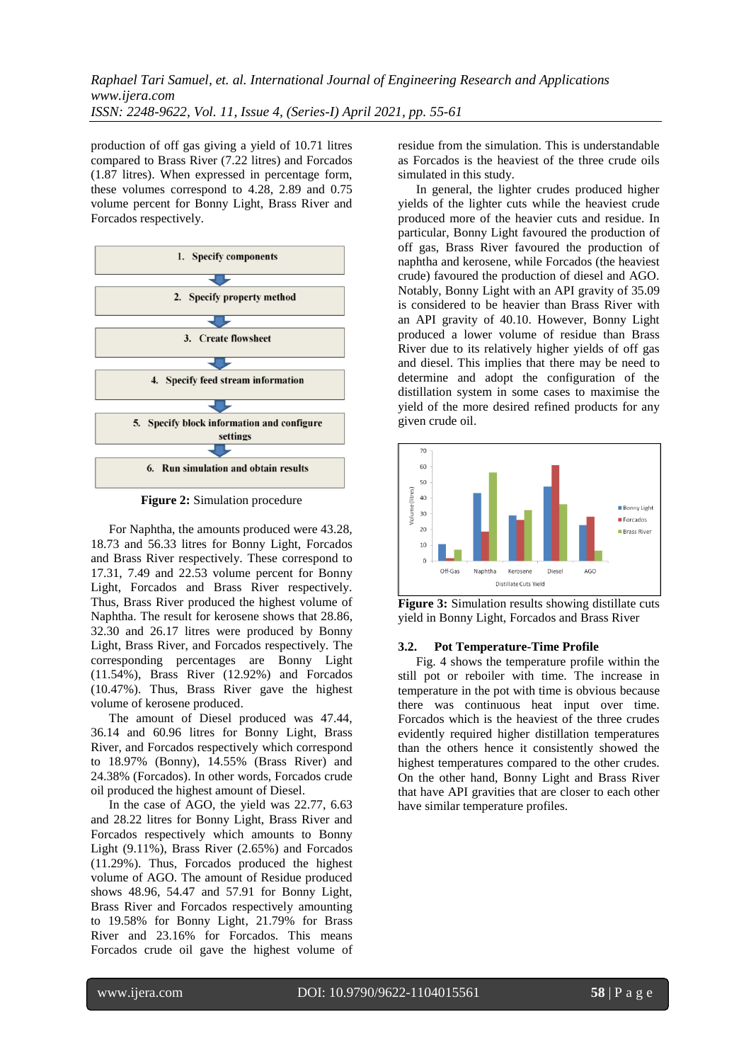production of off gas giving a yield of 10.71 litres compared to Brass River (7.22 litres) and Forcados (1.87 litres). When expressed in percentage form, these volumes correspond to 4.28, 2.89 and 0.75 volume percent for Bonny Light, Brass River and Forcados respectively.



**Figure 2:** Simulation procedure

For Naphtha, the amounts produced were 43.28, 18.73 and 56.33 litres for Bonny Light, Forcados and Brass River respectively. These correspond to 17.31, 7.49 and 22.53 volume percent for Bonny Light, Forcados and Brass River respectively. Thus, Brass River produced the highest volume of Naphtha. The result for kerosene shows that 28.86, 32.30 and 26.17 litres were produced by Bonny Light, Brass River, and Forcados respectively. The corresponding percentages are Bonny Light (11.54%), Brass River (12.92%) and Forcados (10.47%). Thus, Brass River gave the highest volume of kerosene produced.

The amount of Diesel produced was 47.44, 36.14 and 60.96 litres for Bonny Light, Brass River, and Forcados respectively which correspond to 18.97% (Bonny), 14.55% (Brass River) and 24.38% (Forcados). In other words, Forcados crude oil produced the highest amount of Diesel.

In the case of AGO, the yield was 22.77, 6.63 and 28.22 litres for Bonny Light, Brass River and Forcados respectively which amounts to Bonny Light (9.11%), Brass River (2.65%) and Forcados (11.29%). Thus, Forcados produced the highest volume of AGO. The amount of Residue produced shows 48.96, 54.47 and 57.91 for Bonny Light, Brass River and Forcados respectively amounting to 19.58% for Bonny Light, 21.79% for Brass River and 23.16% for Forcados. This means Forcados crude oil gave the highest volume of residue from the simulation. This is understandable as Forcados is the heaviest of the three crude oils simulated in this study.

In general, the lighter crudes produced higher yields of the lighter cuts while the heaviest crude produced more of the heavier cuts and residue. In particular, Bonny Light favoured the production of off gas, Brass River favoured the production of naphtha and kerosene, while Forcados (the heaviest crude) favoured the production of diesel and AGO. Notably, Bonny Light with an API gravity of 35.09 is considered to be heavier than Brass River with an API gravity of 40.10. However, Bonny Light produced a lower volume of residue than Brass River due to its relatively higher yields of off gas and diesel. This implies that there may be need to determine and adopt the configuration of the distillation system in some cases to maximise the yield of the more desired refined products for any given crude oil.



**Figure 3:** Simulation results showing distillate cuts yield in Bonny Light, Forcados and Brass River

#### **3.2. Pot Temperature-Time Profile**

Fig. 4 shows the temperature profile within the still pot or reboiler with time. The increase in temperature in the pot with time is obvious because there was continuous heat input over time. Forcados which is the heaviest of the three crudes evidently required higher distillation temperatures than the others hence it consistently showed the highest temperatures compared to the other crudes. On the other hand, Bonny Light and Brass River that have API gravities that are closer to each other have similar temperature profiles.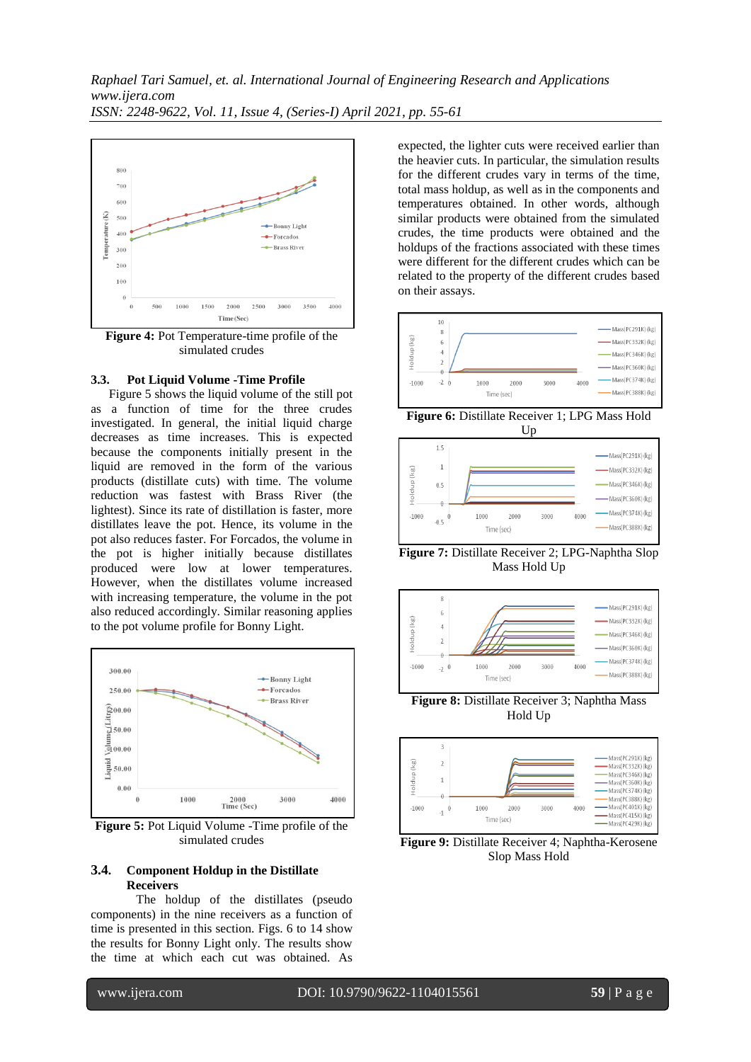

**Figure 4:** Pot Temperature-time profile of the simulated crudes

### **3.3. Pot Liquid Volume -Time Profile**

Figure 5 shows the liquid volume of the still pot as a function of time for the three crudes investigated. In general, the initial liquid charge decreases as time increases. This is expected because the components initially present in the liquid are removed in the form of the various products (distillate cuts) with time. The volume reduction was fastest with Brass River (the lightest). Since its rate of distillation is faster, more distillates leave the pot. Hence, its volume in the pot also reduces faster. For Forcados, the volume in the pot is higher initially because distillates produced were low at lower temperatures. However, when the distillates volume increased with increasing temperature, the volume in the pot also reduced accordingly. Similar reasoning applies to the pot volume profile for Bonny Light.



**Figure 5:** Pot Liquid Volume -Time profile of the simulated crudes

#### **3.4. Component Holdup in the Distillate Receivers**

The holdup of the distillates (pseudo components) in the nine receivers as a function of time is presented in this section. Figs. 6 to 14 show the results for Bonny Light only. The results show the time at which each cut was obtained. As

expected, the lighter cuts were received earlier than the heavier cuts. In particular, the simulation results for the different crudes vary in terms of the time, total mass holdup, as well as in the components and temperatures obtained. In other words, although similar products were obtained from the simulated crudes, the time products were obtained and the holdups of the fractions associated with these times were different for the different crudes which can be related to the property of the different crudes based on their assays.



**Figure 6:** Distillate Receiver 1; LPG Mass Hold Up



**Figure 7:** Distillate Receiver 2; LPG-Naphtha Slop Mass Hold Up



**Figure 8:** Distillate Receiver 3; Naphtha Mass Hold Up



**Figure 9:** Distillate Receiver 4; Naphtha-Kerosene Slop Mass Hold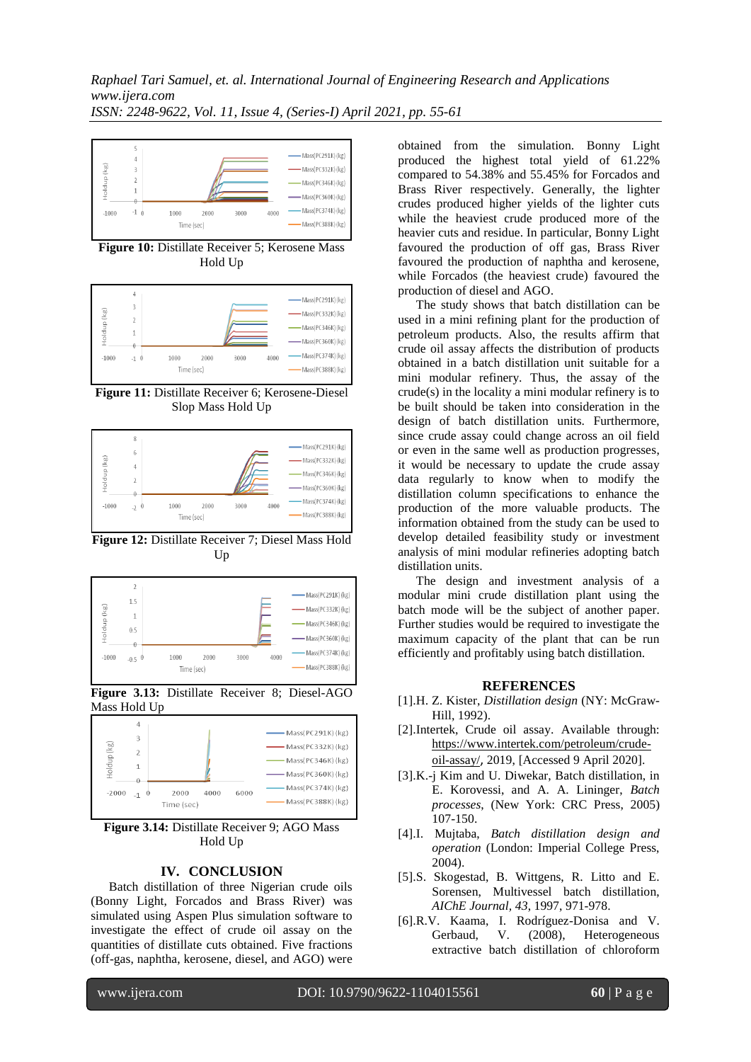

**Figure 10:** Distillate Receiver 5; Kerosene Mass Hold Up



**Figure 11:** Distillate Receiver 6; Kerosene-Diesel Slop Mass Hold Up



**Figure 12:** Distillate Receiver 7; Diesel Mass Hold Up





**Figure 3.14:** Distillate Receiver 9; AGO Mass Hold Up

#### **IV. CONCLUSION**

Batch distillation of three Nigerian crude oils (Bonny Light, Forcados and Brass River) was simulated using Aspen Plus simulation software to investigate the effect of crude oil assay on the quantities of distillate cuts obtained. Five fractions (off-gas, naphtha, kerosene, diesel, and AGO) were

obtained from the simulation. Bonny Light produced the highest total yield of 61.22% compared to 54.38% and 55.45% for Forcados and Brass River respectively. Generally, the lighter crudes produced higher yields of the lighter cuts while the heaviest crude produced more of the heavier cuts and residue. In particular, Bonny Light favoured the production of off gas, Brass River favoured the production of naphtha and kerosene, while Forcados (the heaviest crude) favoured the production of diesel and AGO.

The study shows that batch distillation can be used in a mini refining plant for the production of petroleum products. Also, the results affirm that crude oil assay affects the distribution of products obtained in a batch distillation unit suitable for a mini modular refinery. Thus, the assay of the crude(s) in the locality a mini modular refinery is to be built should be taken into consideration in the design of batch distillation units. Furthermore, since crude assay could change across an oil field or even in the same well as production progresses, it would be necessary to update the crude assay data regularly to know when to modify the distillation column specifications to enhance the production of the more valuable products. The information obtained from the study can be used to develop detailed feasibility study or investment analysis of mini modular refineries adopting batch distillation units.

The design and investment analysis of a modular mini crude distillation plant using the batch mode will be the subject of another paper. Further studies would be required to investigate the maximum capacity of the plant that can be run efficiently and profitably using batch distillation.

#### **REFERENCES**

- [1].H. Z. Kister, *Distillation design* (NY: McGraw-Hill, 1992).
- [2].Intertek, Crude oil assay. Available through: [https://www.intertek.com/petroleum/crude](https://www.intertek.com/petroleum/crude-oil-assay/)[oil-assay/](https://www.intertek.com/petroleum/crude-oil-assay/), 2019, [Accessed 9 April 2020].
- [3].K.-j Kim and U. Diwekar, Batch distillation, in E. Korovessi, and A. A. Lininger, *Batch processes*, (New York: CRC Press, 2005) 107-150.
- [4].I. Mujtaba, *Batch distillation design and operation* (London: Imperial College Press, 2004).
- [5].S. Skogestad, B. Wittgens, R. Litto and E. Sorensen, Multivessel batch distillation, *AIChE Journal, 43*, 1997, 971-978.
- [6].R.V. Kaama, I. Rodríguez-Donisa and V. Gerbaud, V. (2008), Heterogeneous extractive batch distillation of chloroform